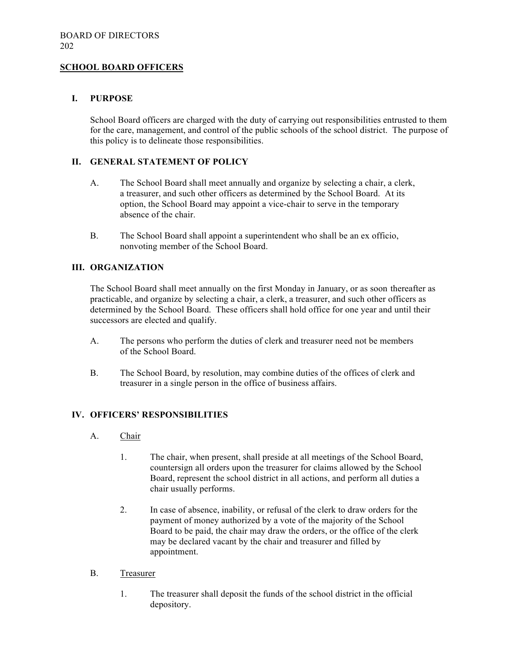## **SCHOOL BOARD OFFICERS**

## **I. PURPOSE**

School Board officers are charged with the duty of carrying out responsibilities entrusted to them for the care, management, and control of the public schools of the school district. The purpose of this policy is to delineate those responsibilities.

## **II. GENERAL STATEMENT OF POLICY**

- A. The School Board shall meet annually and organize by selecting a chair, a clerk, a treasurer, and such other officers as determined by the School Board. At its option, the School Board may appoint a vice-chair to serve in the temporary absence of the chair.
- B. The School Board shall appoint a superintendent who shall be an ex officio, nonvoting member of the School Board.

### **III. ORGANIZATION**

The School Board shall meet annually on the first Monday in January, or as soon thereafter as practicable, and organize by selecting a chair, a clerk, a treasurer, and such other officers as determined by the School Board. These officers shall hold office for one year and until their successors are elected and qualify.

- A. The persons who perform the duties of clerk and treasurer need not be members of the School Board.
- B. The School Board, by resolution, may combine duties of the offices of clerk and treasurer in a single person in the office of business affairs.

# **IV. OFFICERS' RESPONSIBILITIES**

- A. Chair
	- 1. The chair, when present, shall preside at all meetings of the School Board, countersign all orders upon the treasurer for claims allowed by the School Board, represent the school district in all actions, and perform all duties a chair usually performs.
	- 2. In case of absence, inability, or refusal of the clerk to draw orders for the payment of money authorized by a vote of the majority of the School Board to be paid, the chair may draw the orders, or the office of the clerk may be declared vacant by the chair and treasurer and filled by appointment.
- B. Treasurer
	- 1. The treasurer shall deposit the funds of the school district in the official depository.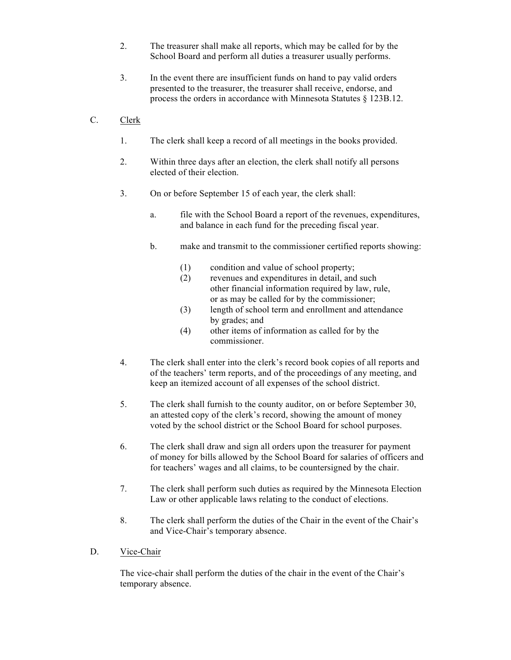- 2. The treasurer shall make all reports, which may be called for by the School Board and perform all duties a treasurer usually performs.
- 3. In the event there are insufficient funds on hand to pay valid orders presented to the treasurer, the treasurer shall receive, endorse, and process the orders in accordance with Minnesota Statutes § 123B.12.
- C. Clerk
	- 1. The clerk shall keep a record of all meetings in the books provided.
	- 2. Within three days after an election, the clerk shall notify all persons elected of their election.
	- 3. On or before September 15 of each year, the clerk shall:
		- a. file with the School Board a report of the revenues, expenditures, and balance in each fund for the preceding fiscal year.
		- b. make and transmit to the commissioner certified reports showing:
			- (1) condition and value of school property;
			- (2) revenues and expenditures in detail, and such other financial information required by law, rule, or as may be called for by the commissioner;
			- (3) length of school term and enrollment and attendance by grades; and
			- (4) other items of information as called for by the commissioner.
	- 4. The clerk shall enter into the clerk's record book copies of all reports and of the teachers' term reports, and of the proceedings of any meeting, and keep an itemized account of all expenses of the school district.
	- 5. The clerk shall furnish to the county auditor, on or before September 30, an attested copy of the clerk's record, showing the amount of money voted by the school district or the School Board for school purposes.
	- 6. The clerk shall draw and sign all orders upon the treasurer for payment of money for bills allowed by the School Board for salaries of officers and for teachers' wages and all claims, to be countersigned by the chair.
	- 7. The clerk shall perform such duties as required by the Minnesota Election Law or other applicable laws relating to the conduct of elections.
	- 8. The clerk shall perform the duties of the Chair in the event of the Chair's and Vice-Chair's temporary absence.
- D. Vice-Chair

The vice-chair shall perform the duties of the chair in the event of the Chair's temporary absence.